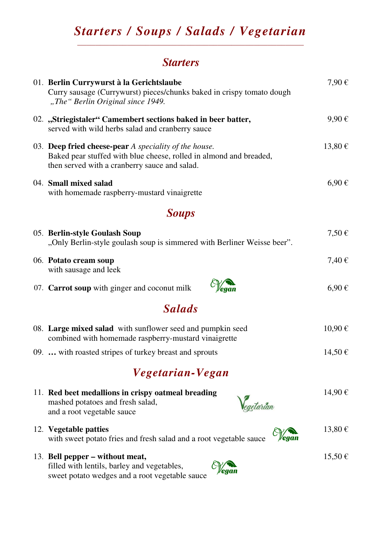#### *Starters / Soups / Salads / Vegetarian*  \_\_\_\_\_\_\_\_\_\_\_\_\_\_\_\_\_\_\_\_\_\_\_\_\_\_\_\_\_\_\_\_\_\_\_\_\_\_\_\_\_\_\_\_\_\_\_\_\_\_

## *Starters*

| 01. Berlin Currywurst à la Gerichtslaube<br>Curry sausage (Currywurst) pieces/chunks baked in crispy tomato dough<br>"The" Berlin Original since 1949.                       | 7,90€       |
|------------------------------------------------------------------------------------------------------------------------------------------------------------------------------|-------------|
| 02. "Striegistaler" Camembert sections baked in beer batter,<br>served with wild herbs salad and cranberry sauce                                                             | 9,90€       |
| 03. Deep fried cheese-pear A speciality of the house.<br>Baked pear stuffed with blue cheese, rolled in almond and breaded,<br>then served with a cranberry sauce and salad. | 13,80€      |
| 04. Small mixed salad<br>with homemade raspberry-mustard vinaigrette                                                                                                         | $6,90 \in$  |
| <b>Soups</b>                                                                                                                                                                 |             |
| 05. Berlin-style Goulash Soup<br>"Only Berlin-style goulash soup is simmered with Berliner Weisse beer".                                                                     | $7,50 \in$  |
| 06. Potato cream soup<br>with sausage and leek                                                                                                                               | 7,40€       |
| 07. Carrot soup with ginger and coconut milk                                                                                                                                 | $6,90 \in$  |
| <b>Salads</b>                                                                                                                                                                |             |
| 08. Large mixed salad with sunflower seed and pumpkin seed<br>combined with homemade raspberry-mustard vinaigrette                                                           | 10,90€      |
| 09.  with roasted stripes of turkey breast and sprouts                                                                                                                       | $14,50 \in$ |
| Vegetarian-Vegan                                                                                                                                                             |             |
| 11. Red beet medallions in crispy oatmeal breading<br>mashed potatoes and fresh salad,<br>eaetarian<br>and a root vegetable sauce                                            | 14,90€      |
| 12. Vegetable patties<br>with sweet potato fries and fresh salad and a root vegetable sauce                                                                                  | 13,80€      |
| 13. Bell pepper – without meat,<br>filled with lentils, barley and vegetables,<br>sweet potato wedges and a root vegetable sauce                                             | 15,50€      |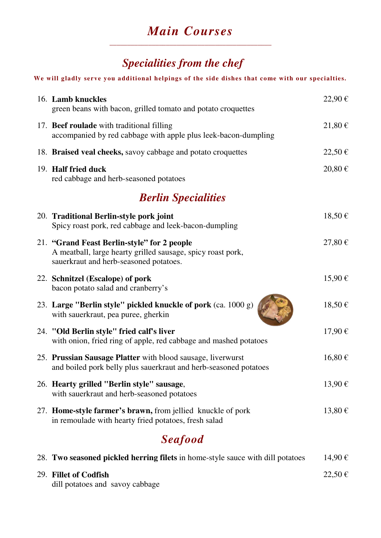### *Main Courses*  \_\_\_\_\_\_\_\_\_\_\_\_\_\_\_\_\_\_\_\_\_\_\_\_\_\_\_\_\_\_\_\_\_\_\_\_\_\_\_\_\_\_\_\_\_\_

# *Specialities from the chef*

#### **We will gladly serve you additional helpings of the side dishes that come with our specialties.**

| 16. Lamb knuckles<br>green beans with bacon, grilled tomato and potato croquettes                                                                    | 22,90€      |
|------------------------------------------------------------------------------------------------------------------------------------------------------|-------------|
| 17. Beef roulade with traditional filling<br>accompanied by red cabbage with apple plus leek-bacon-dumpling                                          | 21,80€      |
| 18. Braised veal cheeks, savoy cabbage and potato croquettes                                                                                         | 22,50€      |
| 19. Half fried duck<br>red cabbage and herb-seasoned potatoes                                                                                        | $20,80 \in$ |
| <b>Berlin Specialities</b>                                                                                                                           |             |
| 20. Traditional Berlin-style pork joint<br>Spicy roast pork, red cabbage and leek-bacon-dumpling                                                     | 18,50€      |
| 21. "Grand Feast Berlin-style" for 2 people<br>A meatball, large hearty grilled sausage, spicy roast pork,<br>sauerkraut and herb-seasoned potatoes. | 27,80€      |
| 22. Schnitzel (Escalope) of pork<br>bacon potato salad and cranberry's                                                                               | 15,90€      |
| 23. Large "Berlin style" pickled knuckle of pork (ca. 1000 g)<br>with sauerkraut, pea puree, gherkin                                                 | 18,50€      |
| 24. "Old Berlin style" fried calf's liver<br>with onion, fried ring of apple, red cabbage and mashed potatoes                                        | 17,90€      |
| 25. Prussian Sausage Platter with blood sausage, liverwurst<br>and boiled pork belly plus sauerkraut and herb-seasoned potatoes                      | 16,80€      |
| 26. Hearty grilled "Berlin style" sausage,<br>with sauerkraut and herb-seasoned potatoes                                                             | 13,90€      |
| 27. Home-style farmer's brawn, from jellied knuckle of pork<br>in remoulade with hearty fried potatoes, fresh salad                                  | 13,80€      |
| <b>Seafood</b>                                                                                                                                       |             |
| 28. Two seasoned pickled herring filets in home-style sauce with dill potatoes                                                                       | 14,90€      |

| 29. Fillet of Codfish           | 22.50€ |
|---------------------------------|--------|
| dill potatoes and savoy cabbage |        |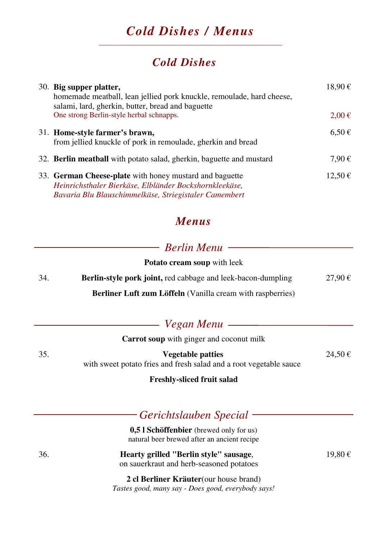### *Cold Dishes / Menus*  \_\_\_\_\_\_\_\_\_\_\_\_\_\_\_\_\_\_\_\_\_\_\_\_\_\_\_\_\_\_\_\_\_\_\_\_\_\_\_\_\_\_\_\_\_\_\_\_\_\_\_\_

## *Cold Dishes*

| 30. Big supper platter,<br>homemade meatball, lean jellied pork knuckle, remoulade, hard cheese,<br>salami, lard, gherkin, butter, bread and baguette                      | 18,90 €             |
|----------------------------------------------------------------------------------------------------------------------------------------------------------------------------|---------------------|
| One strong Berlin-style herbal schnapps.                                                                                                                                   | $2,00 \in$          |
| 31. Home-style farmer's brawn,<br>from jellied knuckle of pork in remoulade, gherkin and bread                                                                             | $6.50 \in$          |
| 32. Berlin meatball with potato salad, gherkin, baguette and mustard                                                                                                       | $7.90 \text{ } \in$ |
| 33. German Cheese-plate with honey mustard and baguette<br>Heinrichsthaler Bierkäse, Elbländer Bockshornkleekäse,<br>Bavaria Blu Blauschimmelkäse, Striegistaler Camembert | 12,50€              |

### *Menus*

## *Berlin Menu*

|     | <b>Potato cream soup</b> with leek                                                             |        |
|-----|------------------------------------------------------------------------------------------------|--------|
| 34. | <b>Berlin-style pork joint, red cabbage and leek-bacon-dumpling</b>                            | 27,90€ |
|     | <b>Berliner Luft zum Löffeln</b> (Vanilla cream with raspberries)                              |        |
|     | Vegan Menu –                                                                                   |        |
|     | <b>Carrot soup</b> with ginger and coconut milk                                                |        |
| 35. | <b>Vegetable patties</b><br>with sweet potato fries and fresh salad and a root vegetable sauce | 24,50€ |
|     | <b>Freshly-sliced fruit salad</b>                                                              |        |

|     | Gerichtslauben Special                                                                        |        |
|-----|-----------------------------------------------------------------------------------------------|--------|
|     | <b>0.5 l Schöffenbier</b> (brewed only for us)<br>natural beer brewed after an ancient recipe |        |
| 36. | Hearty grilled "Berlin style" sausage,<br>on sauerkraut and herb-seasoned potatoes            | 19,80€ |
|     | 2 cl Berliner Kräuter (our house brand)<br>Tastes good, many say - Does good, everybody says! |        |